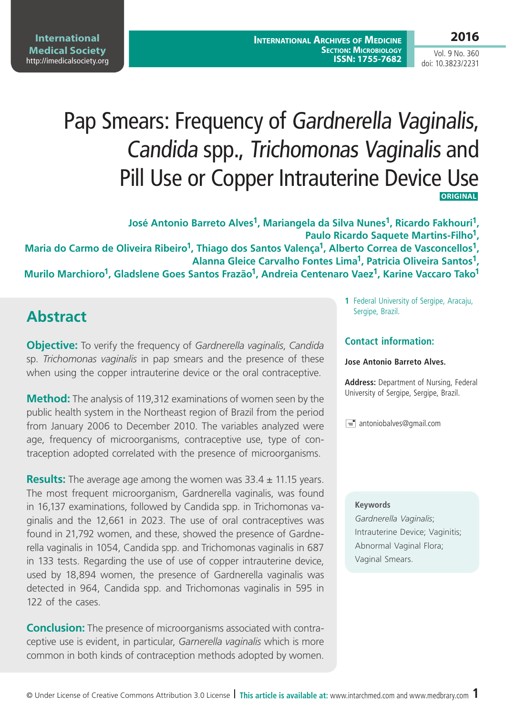## **2016**

Vol. 9 No. 360 doi: 10.3823/2231

# Pap Smears: Frequency of Gardnerella Vaginalis, Candida spp., Trichomonas Vaginalis and Pill Use or Copper Intrauterine Device Use **ORIGINAL**

**José Antonio Barreto Alves1, Mariangela da Silva Nunes1, Ricardo Fakhouri1, Paulo Ricardo Saquete Martins-Filho1, Maria do Carmo de Oliveira Ribeiro1, Thiago dos Santos Valença1, Alberto Correa de Vasconcellos1, Alanna Gleice Carvalho Fontes Lima1, Patricia Oliveira Santos1,**  Murilo Marchioro<sup>1</sup>, Gladslene Goes Santos Frazão<sup>1</sup>, Andreia Centenaro Vaez<sup>1</sup>, Karine Vaccaro Tako<sup>1</sup>

# **Abstract**

**Objective:** To verify the frequency of *Gardnerella vaginalis*, *Candida* sp. *Trichomonas vaginalis* in pap smears and the presence of these when using the copper intrauterine device or the oral contraceptive.

**Method:** The analysis of 119,312 examinations of women seen by the public health system in the Northeast region of Brazil from the period from January 2006 to December 2010. The variables analyzed were age, frequency of microorganisms, contraceptive use, type of contraception adopted correlated with the presence of microorganisms.

**Results:** The average age among the women was 33.4 ± 11.15 years. The most frequent microorganism, Gardnerella vaginalis, was found in 16,137 examinations, followed by Candida spp. in Trichomonas vaginalis and the 12,661 in 2023. The use of oral contraceptives was found in 21,792 women, and these, showed the presence of Gardnerella vaginalis in 1054, Candida spp. and Trichomonas vaginalis in 687 in 133 tests. Regarding the use of use of copper intrauterine device, used by 18,894 women, the presence of Gardnerella vaginalis was detected in 964, Candida spp. and Trichomonas vaginalis in 595 in 122 of the cases.

**Conclusion:** The presence of microorganisms associated with contraceptive use is evident, in particular, *Garnerella vaginalis* which is more common in both kinds of contraception methods adopted by women.

**1** Federal University of Sergipe, Aracaju, Sergipe, Brazil.

### **Contact information:**

#### **Jose Antonio Barreto Alves.**

**Address:** Department of Nursing, Federal University of Sergipe, Sergipe, Brazil.

 $\equiv$  antoniobalves@gmail.com

#### **Keywords**

*Gardnerella Vaginalis*; Intrauterine Device; Vaginitis; Abnormal Vaginal Flora; Vaginal Smears.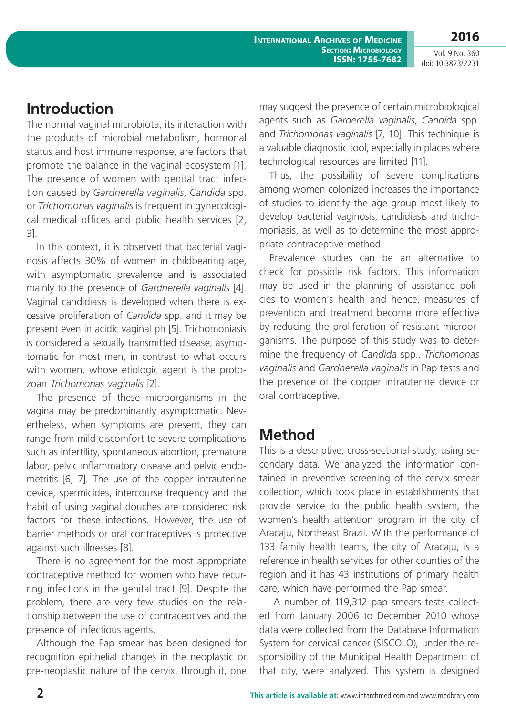**2016** Vol. 9 No. 360

doi: 10.3823/2231

# **Introduction**

The normal vaginal microbiota, its interaction with the products of microbial metabolism, hormonal status and host immune response, are factors that promote the balance in the vaginal ecosystem [1]. The presence of women with genital tract infection caused by *Gardnerella vaginalis*, *Candida* spp. or *Trichomonas vaginalis* is frequent in gynecological medical offices and public health services [2, 3].

In this context, it is observed that bacterial vaginosis affects 30% of women in childbearing age, with asymptomatic prevalence and is associated mainly to the presence of *Gardnerella vaginalis* [4]. Vaginal candidiasis is developed when there is excessive proliferation of *Candida* spp. and it may be present even in acidic vaginal ph [5]. Trichomoniasis is considered a sexually transmitted disease, asymptomatic for most men, in contrast to what occurs with women, whose etiologic agent is the protozoan *Trichomonas vaginalis* [2].

The presence of these microorganisms in the vagina may be predominantly asymptomatic. Nevertheless, when symptoms are present, they can range from mild discomfort to severe complications such as infertility, spontaneous abortion, premature labor, pelvic inflammatory disease and pelvic endometritis [6, 7]. The use of the copper intrauterine device, spermicides, intercourse frequency and the habit of using vaginal douches are considered risk factors for these infections. However, the use of barrier methods or oral contraceptives is protective against such illnesses [8].

There is no agreement for the most appropriate contraceptive method for women who have recurring infections in the genital tract [9]. Despite the problem, there are very few studies on the relationship between the use of contraceptives and the presence of infectious agents.

Although the Pap smear has been designed for recognition epithelial changes in the neoplastic or pre-neoplastic nature of the cervix, through it, one may suggest the presence of certain microbiological agents such as *Garderella vaginalis*, *Candida* spp. and *Trichomonas vaginalis* [7, 10]. This technique is a valuable diagnostic tool, especially in places where technological resources are limited [11].

Thus, the possibility of severe complications among women colonized increases the importance of studies to identify the age group most likely to develop bacterial vaginosis, candidiasis and trichomoniasis, as well as to determine the most appropriate contraceptive method.

Prevalence studies can be an alternative to check for possible risk factors. This information may be used in the planning of assistance policies to women's health and hence, measures of prevention and treatment become more effective by reducing the proliferation of resistant microorganisms. The purpose of this study was to determine the frequency of *Candida* spp., *Trichomonas vaginalis* and *Gardnerella vaginalis* in Pap tests and the presence of the copper intrauterine device or oral contraceptive.

### **Method**

This is a descriptive, cross-sectional study, using secondary data. We analyzed the information contained in preventive screening of the cervix smear collection, which took place in establishments that provide service to the public health system, the women's health attention program in the city of Aracaju, Northeast Brazil. With the performance of 133 family health teams, the city of Aracaju, is a reference in health services for other counties of the region and it has 43 institutions of primary health care, which have performed the Pap smear.

 A number of 119,312 pap smears tests collected from January 2006 to December 2010 whose data were collected from the Database Information System for cervical cancer (SISCOLO), under the responsibility of the Municipal Health Department of that city, were analyzed. This system is designed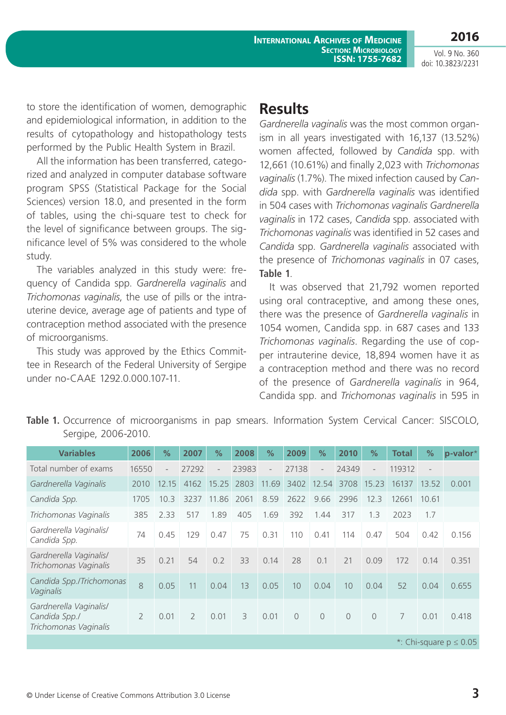Vol. 9 No. 360 doi: 10.3823/2231

**2016**

to store the identification of women, demographic and epidemiological information, in addition to the results of cytopathology and histopathology tests performed by the Public Health System in Brazil.

All the information has been transferred, categorized and analyzed in computer database software program SPSS (Statistical Package for the Social Sciences) version 18.0, and presented in the form of tables, using the chi-square test to check for the level of significance between groups. The significance level of 5% was considered to the whole study.

The variables analyzed in this study were: frequency of Candida spp. *Gardnerella vaginalis* and *Trichomonas vaginalis*, the use of pills or the intrauterine device, average age of patients and type of contraception method associated with the presence of microorganisms.

This study was approved by the Ethics Committee in Research of the Federal University of Sergipe under no-CAAE 1292.0.000.107-11.

## **Results**

*Gardnerella vaginalis* was the most common organism in all years investigated with 16,137 (13.52%) women affected, followed by *Candida* spp. with 12,661 (10.61%) and finally 2,023 with *Trichomonas vaginalis* (1.7%). The mixed infection caused by *Candida* spp. with *Gardnerella vaginalis* was identified in 504 cases with *Trichomonas vaginalis Gardnerella vaginalis* in 172 cases, *Candida* spp. associated with *Trichomonas vaginalis* was identified in 52 cases and *Candida* spp. *Gardnerella vaginalis* associated with the presence of *Trichomonas vaginalis* in 07 cases, **Table 1**.

It was observed that 21,792 women reported using oral contraceptive, and among these ones, there was the presence of *Gardnerella vaginalis* in 1054 women, Candida spp. in 687 cases and 133 *Trichomonas vaginalis*. Regarding the use of copper intrauterine device, 18,894 women have it as a contraception method and there was no record of the presence of *Gardnerella vaginalis* in 964, Candida spp. and *Trichomonas vaginalis* in 595 in

Table 1. Occurrence of microorganisms in pap smears. Information System Cervical Cancer: SISCOLO, Sergipe, 2006-2010.

| <b>Variables</b>                                                 | 2006           | $\frac{9}{6}$            | 2007          | %                        | 2008  | $\frac{0}{0}$            | 2009     | $\%$                     | 2010           | $\%$                     | <b>Total</b> | %                        | p-valor* |
|------------------------------------------------------------------|----------------|--------------------------|---------------|--------------------------|-------|--------------------------|----------|--------------------------|----------------|--------------------------|--------------|--------------------------|----------|
| Total number of exams                                            | 16550          | $\overline{\phantom{a}}$ | 27292         | $\overline{\phantom{a}}$ | 23983 | $\overline{\phantom{a}}$ | 27138    | $\overline{\phantom{a}}$ | 24349          | $\overline{\phantom{a}}$ | 119312       | $\overline{\phantom{a}}$ |          |
| Gardnerella Vaginalis                                            | 2010           | 12.15                    | 4162          | 15.25                    | 2803  | 11.69                    | 3402     | 12.54                    | 3708           | 15.23                    | 16137        | 13.52                    | 0.001    |
| Candida Spp.                                                     | 1705           | 10.3                     | 3237          | 11.86                    | 2061  | 8.59                     | 2622     | 9.66                     | 2996           | 12.3                     | 12661        | 10.61                    |          |
| Trichomonas Vaginalis                                            | 385            | 2.33                     | 517           | 1.89                     | 405   | 1.69                     | 392      | 1.44                     | 317            | 1.3                      | 2023         | 1.7                      |          |
| Gardnerella Vaginalis/<br>Candida Spp.                           | 74             | 0.45                     | 129           | 0.47                     | 75    | 0.31                     | 110      | 0.41                     | 114            | 0.47                     | 504          | 0.42                     | 0.156    |
| Gardnerella Vaginalis/<br>Trichomonas Vaginalis                  | 35             | 0.21                     | 54            | 0.2                      | 33    | 0.14                     | 28       | 0.1                      | 21             | 0.09                     | 172          | 0.14                     | 0.351    |
| Candida Spp./Trichomonas<br>Vaginalis                            | 8              | 0.05                     | 11            | 0.04                     | 13    | 0.05                     | 10       | 0.04                     | 10             | 0.04                     | 52           | 0.04                     | 0.655    |
| Gardnerella Vaginalis/<br>Candida Spp./<br>Trichomonas Vaginalis | $\overline{2}$ | 0.01                     | $\mathcal{P}$ | 0.01                     | 3     | 0.01                     | $\Omega$ | $\Omega$                 | $\overline{0}$ | $\overline{0}$           | 7            | 0.01                     | 0.418    |
| *: Chi-square $p \le 0.05$                                       |                |                          |               |                          |       |                          |          |                          |                |                          |              |                          |          |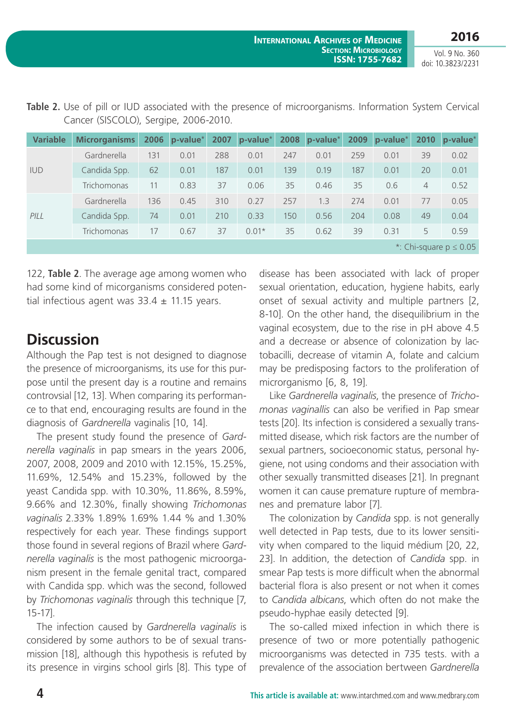**2016**

Vol. 9 No. 360 doi: 10.3823/2231

| <b>Variable</b>            | <b>Microrganisms</b> |     | 2006 $p-value^*$ | 2007 | p-value* |     | 2008 p-value* | 2009 | p-value* | 2010           | $ p-value^* $ |
|----------------------------|----------------------|-----|------------------|------|----------|-----|---------------|------|----------|----------------|---------------|
| <b>IUD</b>                 | Gardnerella          | 131 | 0.01             | 288  | 0.01     | 247 | 0.01          | 259  | 0.01     | 39             | 0.02          |
|                            | Candida Spp.         | 62  | 0.01             | 187  | 0.01     | 139 | 0.19          | 187  | 0.01     | 20             | 0.01          |
|                            | Trichomonas          | 11  | 0.83             | 37   | 0.06     | 35  | 0.46          | 35   | 0.6      | $\overline{4}$ | 0.52          |
| PILL                       | Gardnerella          | 136 | 0.45             | 310  | 0.27     | 257 | 1.3           | 274  | 0.01     | 77             | 0.05          |
|                            | Candida Spp.         | 74  | 0.01             | 210  | 0.33     | 150 | 0.56          | 204  | 0.08     | 49             | 0.04          |
|                            | Trichomonas          | 17  | 0.67             | 37   | $0.01*$  | 35  | 0.62          | 39   | 0.31     | 5              | 0.59          |
| *: Chi-square $p \le 0.05$ |                      |     |                  |      |          |     |               |      |          |                |               |

Table 2. Use of pill or IUD associated with the presence of microorganisms. Information System Cervical Cancer (SISCOLO), Sergipe, 2006-2010.

122, **Table 2**. The average age among women who had some kind of micorganisms considered potential infectious agent was  $33.4 \pm 11.15$  years.

# **Discussion**

Although the Pap test is not designed to diagnose the presence of microorganisms, its use for this purpose until the present day is a routine and remains controvsial [12, 13]. When comparing its performance to that end, encouraging results are found in the diagnosis of *Gardnerella* vaginalis [10, 14].

The present study found the presence of *Gardnerella vaginalis* in pap smears in the years 2006, 2007, 2008, 2009 and 2010 with 12.15%, 15.25%, 11.69%, 12.54% and 15.23%, followed by the yeast Candida spp. with 10.30%, 11.86%, 8.59%, 9.66% and 12.30%, finally showing *Trichomonas vaginalis* 2.33% 1.89% 1.69% 1.44 % and 1.30% respectively for each year. These findings support those found in several regions of Brazil where *Gardnerella vaginalis* is the most pathogenic microorganism present in the female genital tract, compared with Candida spp. which was the second, followed by *Trichomonas vaginalis* through this technique [7, 15-17].

The infection caused by *Gardnerella vaginalis* is considered by some authors to be of sexual transmission [18], although this hypothesis is refuted by its presence in virgins school girls [8]. This type of

disease has been associated with lack of proper sexual orientation, education, hygiene habits, early onset of sexual activity and multiple partners [2, 8-10]. On the other hand, the disequilibrium in the vaginal ecosystem, due to the rise in pH above 4.5 and a decrease or absence of colonization by lactobacilli, decrease of vitamin A, folate and calcium may be predisposing factors to the proliferation of microrganismo [6, 8, 19].

Like *Gardnerella vaginalis*, the presence of *Trichomonas vaginallis* can also be verified in Pap smear tests [20]. Its infection is considered a sexually transmitted disease, which risk factors are the number of sexual partners, socioeconomic status, personal hygiene, not using condoms and their association with other sexually transmitted diseases [21]. In pregnant women it can cause premature rupture of membranes and premature labor [7].

The colonization by *Candida* spp. is not generally well detected in Pap tests, due to its lower sensitivity when compared to the liquid médium [20, 22, 23]. In addition, the detection of *Candida* spp. in smear Pap tests is more difficult when the abnormal bacterial flora is also present or not when it comes to *Candida albicans*, which often do not make the pseudo-hyphae easily detected [9].

The so-called mixed infection in which there is presence of two or more potentially pathogenic microorganisms was detected in 735 tests. with a prevalence of the association bertween *Gardnerella*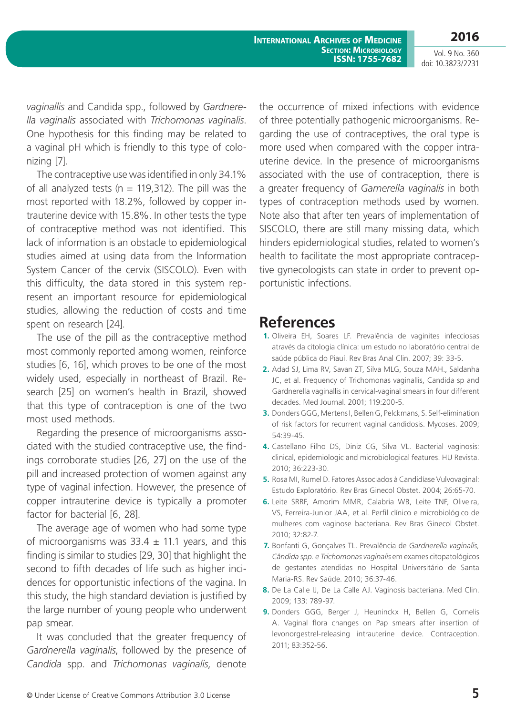**2016** Vol. 9 No. 360

doi: 10.3823/2231

*vaginallis* and Candida spp., followed by *Gardnerella vaginalis* associated with *Trichomonas vaginalis*. One hypothesis for this finding may be related to a vaginal pH which is friendly to this type of colonizing [7].

The contraceptive use was identified in only 34.1% of all analyzed tests ( $n = 119,312$ ). The pill was the most reported with 18.2%, followed by copper intrauterine device with 15.8%. In other tests the type of contraceptive method was not identified. This lack of information is an obstacle to epidemiological studies aimed at using data from the Information System Cancer of the cervix (SISCOLO). Even with this difficulty, the data stored in this system represent an important resource for epidemiological studies, allowing the reduction of costs and time spent on research [24].

The use of the pill as the contraceptive method most commonly reported among women, reinforce studies [6, 16], which proves to be one of the most widely used, especially in northeast of Brazil. Research [25] on women's health in Brazil, showed that this type of contraception is one of the two most used methods.

Regarding the presence of microorganisms associated with the studied contraceptive use, the findings corroborate studies [26, 27] on the use of the pill and increased protection of women against any type of vaginal infection. However, the presence of copper intrauterine device is typically a promoter factor for bacterial [6, 28].

The average age of women who had some type of microorganisms was  $33.4 \pm 11.1$  years, and this finding is similar to studies [29, 30] that highlight the second to fifth decades of life such as higher incidences for opportunistic infections of the vagina. In this study, the high standard deviation is justified by the large number of young people who underwent pap smear.

It was concluded that the greater frequency of *Gardnerella vaginalis*, followed by the presence of *Candida* spp. and *Trichomonas vaginalis*, denote the occurrence of mixed infections with evidence of three potentially pathogenic microorganisms. Regarding the use of contraceptives, the oral type is more used when compared with the copper intrauterine device. In the presence of microorganisms associated with the use of contraception, there is a greater frequency of *Garnerella vaginalis* in both types of contraception methods used by women. Note also that after ten years of implementation of SISCOLO, there are still many missing data, which hinders epidemiological studies, related to women's health to facilitate the most appropriate contraceptive gynecologists can state in order to prevent opportunistic infections.

### **References**

- **1.** Oliveira EH, Soares LF. Prevalência de vaginites infecciosas através da citologia clínica: um estudo no laboratório central de saúde pública do Piauí. Rev Bras Anal Clin. 2007; 39: 33-5.
- **2.** Adad SJ, Lima RV, Savan ZT, Silva MLG, Souza MAH., Saldanha JC, et al. Frequency of Trichomonas vaginallis, Candida sp and Gardnerella vaginallis in cervical-vaginal smears in four different decades. Med Journal. 2001; 119:200-5.
- **3.** Donders GGG, Mertens I, Bellen G, Pelckmans, S. Self-elimination of risk factors for recurrent vaginal candidosis. Mycoses. 2009; 54:39-45.
- **4.** Castellano Filho DS, Diniz CG, Silva VL. Bacterial vaginosis: clinical, epidemiologic and microbiological features. HU Revista. 2010; 36:223-30.
- **5.** Rosa MI, Rumel D. Fatores Associados à Candidíase Vulvovaginal: Estudo Exploratório. Rev Bras Ginecol Obstet. 2004; 26:65-70.
- **6.** Leite SRRF, Amorim MMR, Calabria WB, Leite TNF, Oliveira, VS, Ferreira-Junior JAA, et al. Perfil clínico e microbiológico de mulheres com vaginose bacteriana. Rev Bras Ginecol Obstet. 2010; 32:82-7.
- **7.** Bonfanti G, Gonçalves TL. Prevalência de *Gardnerella vaginalis, Cândida spp. e Trichomonas vaginalis* em exames citopatológicos de gestantes atendidas no Hospital Universitário de Santa Maria-RS. Rev Saúde. 2010; 36:37-46.
- **8.** De La Calle IJ, De La Calle AJ. Vaginosis bacteriana. Med Clin. 2009; 133: 789-97.
- **9.** Donders GGG, Berger J, Heuninckx H, Bellen G, Cornelis A. Vaginal flora changes on Pap smears after insertion of levonorgestrel-releasing intrauterine device. Contraception. 2011; 83:352-56.